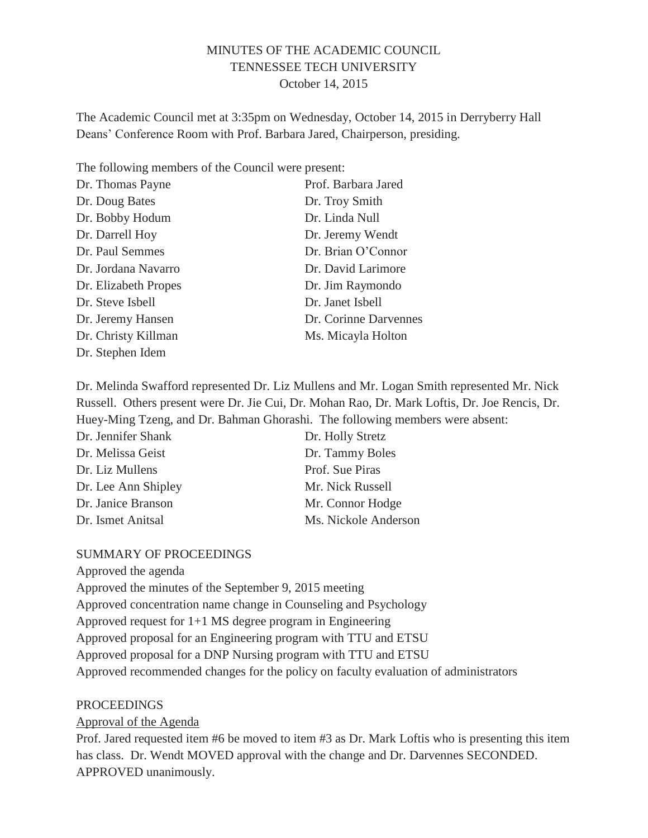#### MINUTES OF THE ACADEMIC COUNCIL TENNESSEE TECH UNIVERSITY October 14, 2015

The Academic Council met at 3:35pm on Wednesday, October 14, 2015 in Derryberry Hall Deans' Conference Room with Prof. Barbara Jared, Chairperson, presiding.

The following members of the Council were present:

| Prof. Barbara Jared   |
|-----------------------|
| Dr. Troy Smith        |
| Dr. Linda Null        |
| Dr. Jeremy Wendt      |
| Dr. Brian O'Connor    |
| Dr. David Larimore    |
| Dr. Jim Raymondo      |
| Dr. Janet Isbell      |
| Dr. Corinne Darvennes |
| Ms. Micayla Holton    |
|                       |
|                       |

Dr. Melinda Swafford represented Dr. Liz Mullens and Mr. Logan Smith represented Mr. Nick Russell. Others present were Dr. Jie Cui, Dr. Mohan Rao, Dr. Mark Loftis, Dr. Joe Rencis, Dr. Huey-Ming Tzeng, and Dr. Bahman Ghorashi. The following members were absent:

| Dr. Jennifer Shank  | Dr. Holly Stretz     |
|---------------------|----------------------|
| Dr. Melissa Geist   | Dr. Tammy Boles      |
| Dr. Liz Mullens     | Prof. Sue Piras      |
| Dr. Lee Ann Shipley | Mr. Nick Russell     |
| Dr. Janice Branson  | Mr. Connor Hodge     |
| Dr. Ismet Anitsal   | Ms. Nickole Anderson |

#### SUMMARY OF PROCEEDINGS

Approved the agenda

Approved the minutes of the September 9, 2015 meeting Approved concentration name change in Counseling and Psychology Approved request for 1+1 MS degree program in Engineering Approved proposal for an Engineering program with TTU and ETSU Approved proposal for a DNP Nursing program with TTU and ETSU Approved recommended changes for the policy on faculty evaluation of administrators

#### PROCEEDINGS

Approval of the Agenda

Prof. Jared requested item #6 be moved to item #3 as Dr. Mark Loftis who is presenting this item has class. Dr. Wendt MOVED approval with the change and Dr. Darvennes SECONDED. APPROVED unanimously.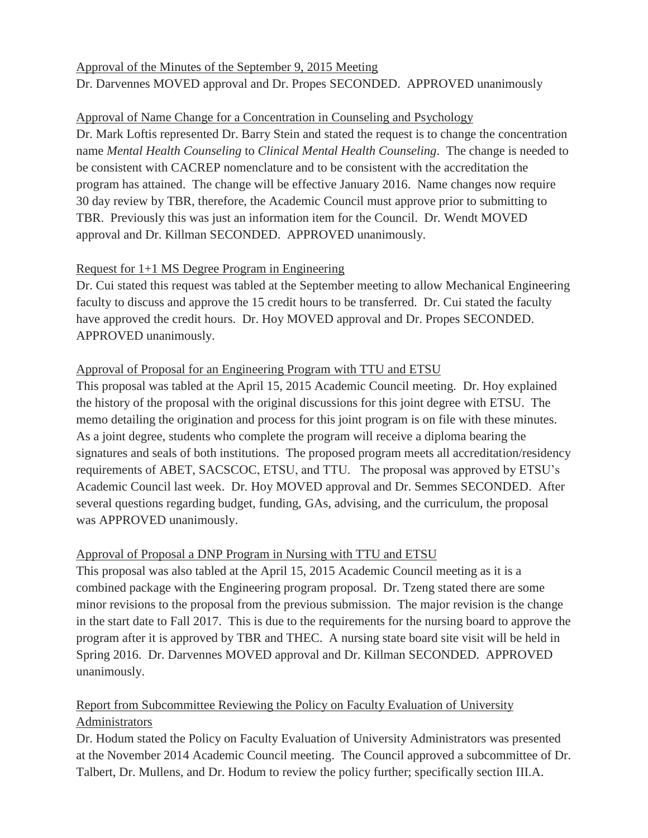## Approval of the Minutes of the September 9, 2015 Meeting Dr. Darvennes MOVED approval and Dr. Propes SECONDED. APPROVED unanimously

### Approval of Name Change for a Concentration in Counseling and Psychology

Dr. Mark Loftis represented Dr. Barry Stein and stated the request is to change the concentration name *Mental Health Counseling* to *Clinical Mental Health Counseling*. The change is needed to be consistent with CACREP nomenclature and to be consistent with the accreditation the program has attained. The change will be effective January 2016. Name changes now require 30 day review by TBR, therefore, the Academic Council must approve prior to submitting to TBR. Previously this was just an information item for the Council. Dr. Wendt MOVED approval and Dr. Killman SECONDED. APPROVED unanimously.

### Request for 1+1 MS Degree Program in Engineering

Dr. Cui stated this request was tabled at the September meeting to allow Mechanical Engineering faculty to discuss and approve the 15 credit hours to be transferred. Dr. Cui stated the faculty have approved the credit hours. Dr. Hoy MOVED approval and Dr. Propes SECONDED. APPROVED unanimously.

### Approval of Proposal for an Engineering Program with TTU and ETSU

This proposal was tabled at the April 15, 2015 Academic Council meeting. Dr. Hoy explained the history of the proposal with the original discussions for this joint degree with ETSU. The memo detailing the origination and process for this joint program is on file with these minutes. As a joint degree, students who complete the program will receive a diploma bearing the signatures and seals of both institutions. The proposed program meets all accreditation/residency requirements of ABET, SACSCOC, ETSU, and TTU. The proposal was approved by ETSU's Academic Council last week. Dr. Hoy MOVED approval and Dr. Semmes SECONDED. After several questions regarding budget, funding, GAs, advising, and the curriculum, the proposal was APPROVED unanimously.

## Approval of Proposal a DNP Program in Nursing with TTU and ETSU

This proposal was also tabled at the April 15, 2015 Academic Council meeting as it is a combined package with the Engineering program proposal. Dr. Tzeng stated there are some minor revisions to the proposal from the previous submission. The major revision is the change in the start date to Fall 2017. This is due to the requirements for the nursing board to approve the program after it is approved by TBR and THEC. A nursing state board site visit will be held in Spring 2016. Dr. Darvennes MOVED approval and Dr. Killman SECONDED. APPROVED unanimously.

# Report from Subcommittee Reviewing the Policy on Faculty Evaluation of University Administrators

Dr. Hodum stated the Policy on Faculty Evaluation of University Administrators was presented at the November 2014 Academic Council meeting. The Council approved a subcommittee of Dr. Talbert, Dr. Mullens, and Dr. Hodum to review the policy further; specifically section III.A.